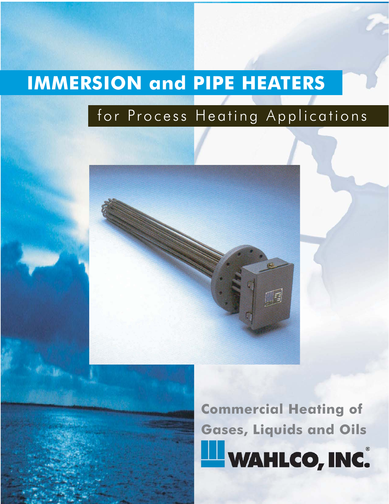# **IMMERSION and PIPE HEATERS**

### for Process Heating Applications